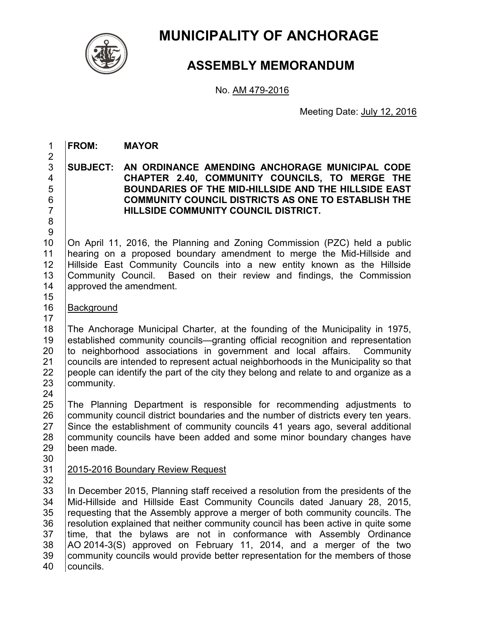

# **MUNICIPALITY OF ANCHORAGE**

## **ASSEMBLY MEMORANDUM**

No. AM 479-2016

Meeting Date: July 12, 2016

1 **FROM: MAYOR** 

2

8 9

17

**SUBJECT: AN ORDINANCE AMENDING ANCHORAGE MUNICIPAL CODE CHAPTER 2.40, COMMUNITY COUNCILS, TO MERGE THE BOUNDARIES OF THE MID-HILLSIDE AND THE HILLSIDE EAST COMMUNITY COUNCIL DISTRICTS AS ONE TO ESTABLISH THE HILLSIDE COMMUNITY COUNCIL DISTRICT.** 

10 | On April 11, 2016, the Planning and Zoning Commission (PZC) held a public 11 hearing on a proposed boundary amendment to merge the Mid-Hillside and 12 Hillside East Community Councils into a new entity known as the Hillside 13 Community Council. Based on their review and findings, the Commission 14 approved the amendment. 15

16 | Background

18 The Anchorage Municipal Charter, at the founding of the Municipality in 1975, 19 lestablished community councils—granting official recognition and representation 20 to neighborhood associations in government and local affairs. Community 21 Councils are intended to represent actual neighborhoods in the Municipality so that 22  $\vert$  people can identify the part of the city they belong and relate to and organize as a 23  $\vert$  community. community.

24<br>25 25 The Planning Department is responsible for recommending adjustments to 26 community council district boundaries and the number of districts every ten years. 27 Since the establishment of community councils 41 years ago, several additional 28 community councils have been added and some minor boundary changes have 29 been made.

30

32

### 31 2015-2016 Boundary Review Request

33 In December 2015, Planning staff received a resolution from the presidents of the 34 Mid-Hillside and Hillside East Community Councils dated January 28, 2015, 35 Fequesting that the Assembly approve a merger of both community councils. The 36 resolution explained that neither community council has been active in quite some 37 time, that the bylaws are not in conformance with Assembly Ordinance  $38$   $\vert$  AO 2014-3(S) approved on February 11, 2014, and a merger of the two 39 community councils would provide better representation for the members of those 40 | councils.